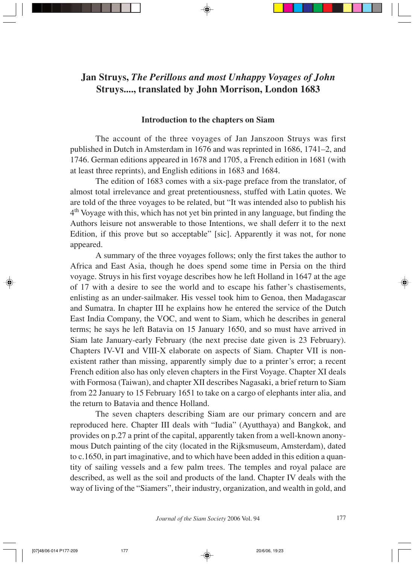# **Jan Struys,** *The Perillous and most Unhappy Voyages of John* **Struys...., translated by John Morrison, London 1683**

#### **Introduction to the chapters on Siam**

The account of the three voyages of Jan Janszoon Struys was first published in Dutch in Amsterdam in 1676 and was reprinted in 1686, 1741–2, and 1746. German editions appeared in 1678 and 1705, a French edition in 1681 (with at least three reprints), and English editions in 1683 and 1684.

The edition of 1683 comes with a six-page preface from the translator, of almost total irrelevance and great pretentiousness, stuffed with Latin quotes. We are told of the three voyages to be related, but "It was intended also to publish his  $4<sup>th</sup>$  Voyage with this, which has not yet bin printed in any language, but finding the Authors leisure not answerable to those Intentions, we shall deferr it to the next Edition, if this prove but so acceptable" [sic]. Apparently it was not, for none appeared.

A summary of the three voyages follows; only the first takes the author to Africa and East Asia, though he does spend some time in Persia on the third voyage. Struys in his first voyage describes how he left Holland in 1647 at the age of 17 with a desire to see the world and to escape his father's chastisements, enlisting as an under-sailmaker. His vessel took him to Genoa, then Madagascar and Sumatra. In chapter III he explains how he entered the service of the Dutch East India Company, the VOC, and went to Siam, which he describes in general terms; he says he left Batavia on 15 January 1650, and so must have arrived in Siam late January-early February (the next precise date given is 23 February). Chapters IV-VI and VIII-X elaborate on aspects of Siam. Chapter VII is nonexistent rather than missing, apparently simply due to a printer's error; a recent French edition also has only eleven chapters in the First Voyage. Chapter XI deals with Formosa (Taiwan), and chapter XII describes Nagasaki, a brief return to Siam from 22 January to 15 February 1651 to take on a cargo of elephants inter alia, and the return to Batavia and thence Holland.

The seven chapters describing Siam are our primary concern and are reproduced here. Chapter III deals with "Iudia" (Ayutthaya) and Bangkok, and provides on p.27 a print of the capital, apparently taken from a well-known anonymous Dutch painting of the city (located in the Rijksmuseum, Amsterdam), dated to c.1650, in part imaginative, and to which have been added in this edition a quantity of sailing vessels and a few palm trees. The temples and royal palace are described, as well as the soil and products of the land. Chapter IV deals with the way of living of the "Siamers", their industry, organization, and wealth in gold, and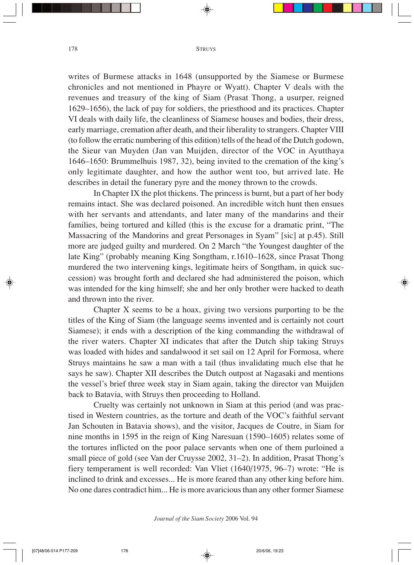writes of Burmese attacks in 1648 (unsupported by the Siamese or Burmese chronicles and not mentioned in Phayre or Wyatt). Chapter V deals with the revenues and treasury of the king of Siam (Prasat Thong, a usurper, reigned 1629–1656), the lack of pay for soldiers, the priesthood and its practices. Chapter VI deals with daily life, the cleanliness of Siamese houses and bodies, their dress, early marriage, cremation after death, and their liberality to strangers. Chapter VIII (to follow the erratic numbering of this edition) tells of the head of the Dutch godown, the Sieur van Muyden (Jan van Muijden, director of the VOC in Ayutthaya 1646–1650: Brummelhuis 1987, 32), being invited to the cremation of the king's only legitimate daughter, and how the author went too, but arrived late. He describes in detail the funerary pyre and the money thrown to the crowds.

In Chapter IX the plot thickens. The princess is burnt, but a part of her body remains intact. She was declared poisoned. An incredible witch hunt then ensues with her servants and attendants, and later many of the mandarins and their families, being tortured and killed (this is the excuse for a dramatic print, "The Massacring of the Mandorins and great Personages in Syam" [sic] at p.45). Still more are judged guilty and murdered. On 2 March "the Youngest daughter of the late King" (probably meaning King Songtham, r.1610–1628, since Prasat Thong murdered the two intervening kings, legitimate heirs of Songtham, in quick succession) was brought forth and declared she had administered the poison, which was intended for the king himself; she and her only brother were hacked to death and thrown into the river.

Chapter X seems to be a hoax, giving two versions purporting to be the titles of the King of Siam (the language seems invented and is certainly not court Siamese); it ends with a description of the king commanding the withdrawal of the river waters. Chapter XI indicates that after the Dutch ship taking Struys was loaded with hides and sandalwood it set sail on 12 April for Formosa, where Struys maintains he saw a man with a tail (thus invalidating much else that he says he saw). Chapter XII describes the Dutch outpost at Nagasaki and mentions the vessel's brief three week stay in Siam again, taking the director van Muijden back to Batavia, with Struys then proceeding to Holland.

Cruelty was certainly not unknown in Siam at this period (and was practised in Western countries, as the torture and death of the VOC's faithful servant Jan Schouten in Batavia shows), and the visitor, Jacques de Coutre, in Siam for nine months in 1595 in the reign of King Naresuan (1590–1605) relates some of the tortures inflicted on the poor palace servants when one of them purloined a small piece of gold (see Van der Cruysse 2002, 31–2). In addition, Prasat Thong's fiery temperament is well recorded: Van Vliet (1640/1975, 96–7) wrote: "He is inclined to drink and excesses... He is more feared than any other king before him. No one dares contradict him... He is more avaricious than any other former Siamese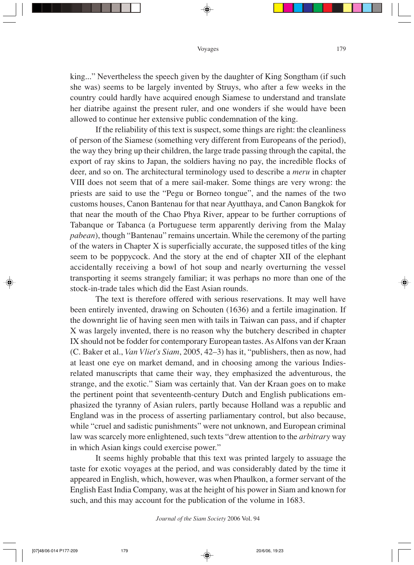king..." Nevertheless the speech given by the daughter of King Songtham (if such she was) seems to be largely invented by Struys, who after a few weeks in the country could hardly have acquired enough Siamese to understand and translate her diatribe against the present ruler, and one wonders if she would have been allowed to continue her extensive public condemnation of the king.

If the reliability of this text is suspect, some things are right: the cleanliness of person of the Siamese (something very different from Europeans of the period), the way they bring up their children, the large trade passing through the capital, the export of ray skins to Japan, the soldiers having no pay, the incredible flocks of deer, and so on. The architectural terminology used to describe a *meru* in chapter VIII does not seem that of a mere sail-maker. Some things are very wrong: the priests are said to use the "Pegu or Borneo tongue", and the names of the two customs houses, Canon Bantenau for that near Ayutthaya, and Canon Bangkok for that near the mouth of the Chao Phya River, appear to be further corruptions of Tabanque or Tabanca (a Portuguese term apparently deriving from the Malay *pabean*), though "Bantenau" remains uncertain. While the ceremony of the parting of the waters in Chapter X is superficially accurate, the supposed titles of the king seem to be poppycock. And the story at the end of chapter XII of the elephant accidentally receiving a bowl of hot soup and nearly overturning the vessel transporting it seems strangely familiar; it was perhaps no more than one of the stock-in-trade tales which did the East Asian rounds.

The text is therefore offered with serious reservations. It may well have been entirely invented, drawing on Schouten (1636) and a fertile imagination. If the downright lie of having seen men with tails in Taiwan can pass, and if chapter X was largely invented, there is no reason why the butchery described in chapter IX should not be fodder for contemporary European tastes. As Alfons van der Kraan (C. Baker et al., *Van Vliet's Siam*, 2005, 42–3) has it, "publishers, then as now, had at least one eye on market demand, and in choosing among the various Indiesrelated manuscripts that came their way, they emphasized the adventurous, the strange, and the exotic." Siam was certainly that. Van der Kraan goes on to make the pertinent point that seventeenth-century Dutch and English publications emphasized the tyranny of Asian rulers, partly because Holland was a republic and England was in the process of asserting parliamentary control, but also because, while "cruel and sadistic punishments" were not unknown, and European criminal law was scarcely more enlightened, such texts "drew attention to the *arbitrary* way in which Asian kings could exercise power."

It seems highly probable that this text was printed largely to assuage the taste for exotic voyages at the period, and was considerably dated by the time it appeared in English, which, however, was when Phaulkon, a former servant of the English East India Company, was at the height of his power in Siam and known for such, and this may account for the publication of the volume in 1683.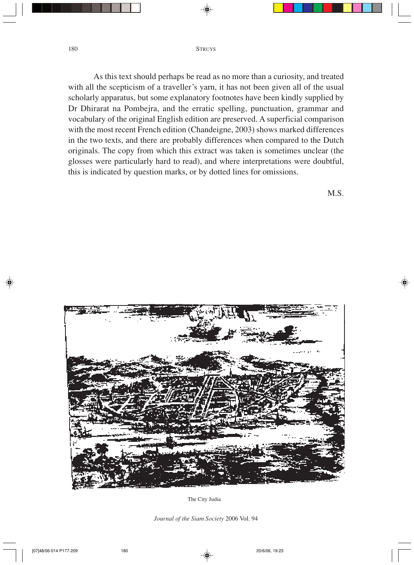As this text should perhaps be read as no more than a curiosity, and treated with all the scepticism of a traveller's yarn, it has not been given all of the usual scholarly apparatus, but some explanatory footnotes have been kindly supplied by Dr Dhirarat na Pombejra, and the erratic spelling, punctuation, grammar and vocabulary of the original English edition are preserved. A superficial comparison with the most recent French edition (Chandeigne, 2003) shows marked differences in the two texts, and there are probably differences when compared to the Dutch originals. The copy from which this extract was taken is sometimes unclear (the glosses were particularly hard to read), and where interpretations were doubtful, this is indicated by question marks, or by dotted lines for omissions.

M.S.



The City Judia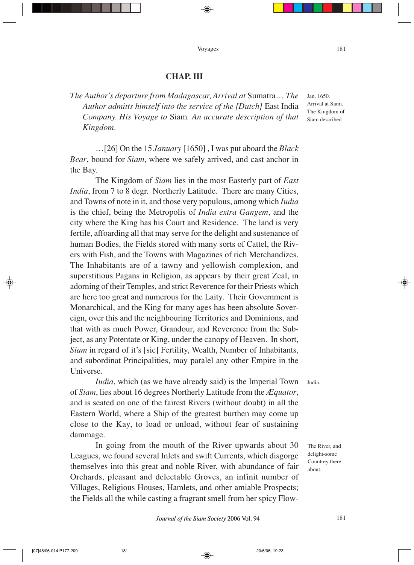# **CHAP. III**

*The Author's departure from Madagascar, Arrival at* Sumatra… *The Author admitts himself into the service of the [Dutch]* East India *Company. His Voyage to* Siam*. An accurate description of that Kingdom.*

…[26] On the 15 *January* [1650] , I was put aboard the *Black Bear*, bound for *Siam*, where we safely arrived, and cast anchor in the Bay.

The Kingdom of *Siam* lies in the most Easterly part of *East India*, from 7 to 8 degr. Northerly Latitude. There are many Cities, and Towns of note in it, and those very populous, among which *Iudia* is the chief, being the Metropolis of *India extra Gangem*, and the city where the King has his Court and Residence. The land is very fertile, affoarding all that may serve for the delight and sustenance of human Bodies, the Fields stored with many sorts of Cattel, the Rivers with Fish, and the Towns with Magazines of rich Merchandizes. The Inhabitants are of a tawny and yellowish complexion, and superstitious Pagans in Religion, as appears by their great Zeal, in adorning of their Temples, and strict Reverence for their Priests which are here too great and numerous for the Laity. Their Government is Monarchical, and the King for many ages has been absolute Sovereign, over this and the neighbouring Territories and Dominions, and that with as much Power, Grandour, and Reverence from the Subject, as any Potentate or King, under the canopy of Heaven. In short, *Siam* in regard of it's [sic] Fertility, Wealth, Number of Inhabitants, and subordinat Principalities, may paralel any other Empire in the Universe.

*Iudia*, which (as we have already said) is the Imperial Town of *Siam*, lies about 16 degrees Northerly Latitude from the *Æquator*, and is seated on one of the fairest Rivers (without doubt) in all the Eastern World, where a Ship of the greatest burthen may come up close to the Kay, to load or unload, without fear of sustaining dammage.

In going from the mouth of the River upwards about 30 Leagues, we found several Inlets and swift Currents, which disgorge themselves into this great and noble River, with abundance of fair Orchards, pleasant and delectable Groves, an infinit number of Villages, Religious Houses, Hamlets, and other amiable Prospects; the Fields all the while casting a fragrant smell from her spicy FlowJan. 1650. Arrival at Siam. The Kingdom of Siam described

Judia.

The River, and delight-some Countrey there about.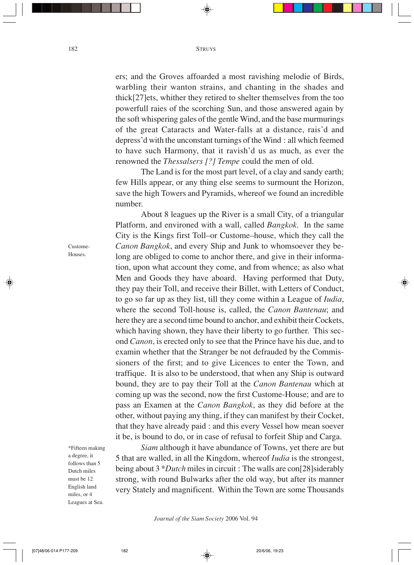ers; and the Groves affoarded a most ravishing melodie of Birds, warbling their wanton strains, and chanting in the shades and thick[27]ets, whither they retired to shelter themselves from the too powerfull raies of the scorching Sun, and those answered again by the soft whispering gales of the gentle Wind, and the base murmurings of the great Cataracts and Water-falls at a distance, rais'd and depress'd with the unconstant turnings of the Wind : all which feemed to have such Harmony, that it ravish'd us as much, as ever the renowned the *Thessalsers [?] Tempe* could the men of old.

The Land is for the most part level, of a clay and sandy earth; few Hills appear, or any thing else seems to surmount the Horizon, save the high Towers and Pyramids, whereof we found an incredible number.

About 8 leagues up the River is a small City, of a triangular Platform, and environed with a wall, called *Bangkok*. In the same City is the Kings first Toll–or Custome–house, which they call the *Canon Bangkok*, and every Ship and Junk to whomsoever they belong are obliged to come to anchor there, and give in their information, upon what account they come, and from whence; as also what Men and Goods they have aboard. Having performed that Duty, they pay their Toll, and receive their Billet, with Letters of Conduct, to go so far up as they list, till they come within a League of *Iudia*, where the second Toll-house is, called, the *Canon Bantenau*; and here they are a second time bound to anchor, and exhibit their Cockets, which having shown, they have their liberty to go further. This second *Canon*, is erected only to see that the Prince have his due, and to examin whether that the Stranger be not defrauded by the Commissioners of the first; and to give Licences to enter the Town, and traffique. It is also to be understood, that when any Ship is outward bound, they are to pay their Toll at the *Canon Bantenau* which at coming up was the second, now the first Custome-House; and are to pass an Examen at the *Canon Bangkok*, as they did before at the other, without paying any thing, if they can manifest by their Cocket, that they have already paid : and this every Vessel how mean soever it be, is bound to do, or in case of refusal to forfeit Ship and Carga.

\*Fifteen making a degree, it follows than 5 Dutch miles must be 12 English land miles, or 4 Leagues at Sea.

*Siam* although it have abundance of Towns, yet there are but 5 that are walled, in all the Kingdom, whereof *Iudia* is the strongest, being about 3 \**Dutch* miles in circuit : The walls are con[28]siderably strong, with round Bulwarks after the old way, but after its manner very Stately and magnificent. Within the Town are some Thousands

*Journal of the Siam Society* 2006 Vol. 94

Custome-Houses.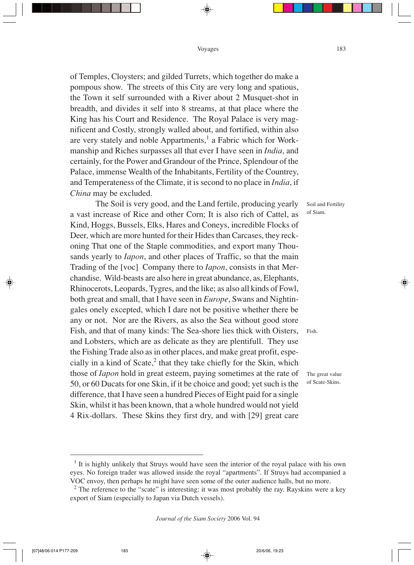of Temples, Cloysters; and gilded Turrets, which together do make a pompous show. The streets of this City are very long and spatious, the Town it self surrounded with a River about 2 Musquet-shot in breadth, and divides it self into 8 streams, at that place where the King has his Court and Residence. The Royal Palace is very magnificent and Costly, strongly walled about, and fortified, within also are very stately and noble Appartments,<sup>1</sup> a Fabric which for Workmanship and Riches surpasses all that ever I have seen in *India*, and certainly, for the Power and Grandour of the Prince, Splendour of the Palace, immense Wealth of the Inhabitants, Fertility of the Countrey, and Temperateness of the Climate, it is second to no place in *India*, if *China* may be excluded.

The Soil is very good, and the Land fertile, producing yearly a vast increase of Rice and other Corn; It is also rich of Cattel, as Kind, Hoggs, Bussels, Elks, Hares and Coneys, incredible Flocks of Deer, which are more hunted for their Hides than Carcases, they reckoning That one of the Staple commodities, and export many Thousands yearly to *Iapon*, and other places of Traffic, so that the main Trading of the [voc] Company there to *Iapon*, consists in that Merchandise. Wild-beasts are also here in great abundance, as, Elephants, Rhinocerots, Leopards, Tygres, and the like; as also all kinds of Fowl, both great and small, that I have seen in *Europe*, Swans and Nightingales onely excepted, which I dare not be positive whether there be any or not. Nor are the Rivers, as also the Sea without good store Fish, and that of many kinds: The Sea-shore lies thick with Oisters, and Lobsters, which are as delicate as they are plentifull. They use the Fishing Trade also as in other places, and make great profit, especially in a kind of Scate,<sup>2</sup> that they take chiefly for the Skin, which those of *Iapon* hold in great esteem, paying sometimes at the rate of 50, or 60 Ducats for one Skin, if it be choice and good; yet such is the difference, that I have seen a hundred Pieces of Eight paid for a single Skin, whilst it has been known, that a whole hundred would not yield 4 Rix-dollars. These Skins they first dry, and with [29] great care

Soil and Fertility of Siam.

Fish.

The great value of Scate-Skins.

 $<sup>1</sup>$  It is highly unlikely that Struys would have seen the interior of the royal palace with his own</sup> eyes. No foreign trader was allowed inside the royal "apartments". If Struys had accompanied a VOC envoy, then perhaps he might have seen some of the outer audience halls, but no more.

<sup>&</sup>lt;sup>2</sup> The reference to the "scate" is interesting: it was most probably the ray. Rayskins were a key export of Siam (especially to Japan via Dutch vessels).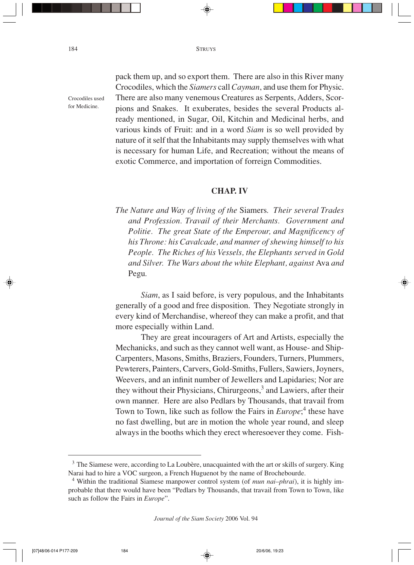Crocodiles used for Medicine.

pack them up, and so export them. There are also in this River many Crocodiles, which the *Siamers* call *Cayman*, and use them for Physic. There are also many venemous Creatures as Serpents, Adders, Scorpions and Snakes. It exuberates, besides the several Products already mentioned, in Sugar, Oil, Kitchin and Medicinal herbs, and various kinds of Fruit: and in a word *Siam* is so well provided by nature of it self that the Inhabitants may supply themselves with what is necessary for human Life, and Recreation; without the means of exotic Commerce, and importation of forreign Commodities.

## **CHAP. IV**

*The Nature and Way of living of the* Siamers*. Their several Trades and Profession. Travail of their Merchants. Government and Politie. The great State of the Emperour, and Magnificency of his Throne: his Cavalcade, and manner of shewing himself to his People. The Riches of his Vessels, the Elephants served in Gold and Silver. The Wars about the white Elephant, against* Ava *and* Pegu*.*

*Siam*, as I said before, is very populous, and the Inhabitants generally of a good and free disposition. They Negotiate strongly in every kind of Merchandise, whereof they can make a profit, and that more especially within Land.

They are great incouragers of Art and Artists, especially the Mechanicks, and such as they cannot well want, as House- and Ship-Carpenters, Masons, Smiths, Braziers, Founders, Turners, Plummers, Pewterers, Painters, Carvers, Gold-Smiths, Fullers, Sawiers, Joyners, Weevers, and an infinit number of Jewellers and Lapidaries; Nor are they without their Physicians, Chirurgeons,<sup>3</sup> and Lawiers, after their own manner. Here are also Pedlars by Thousands, that travail from Town to Town, like such as follow the Fairs in *Europe*;<sup>4</sup> these have no fast dwelling, but are in motion the whole year round, and sleep always in the booths which they erect wheresoever they come. Fish-

<sup>&</sup>lt;sup>3</sup> The Siamese were, according to La Loubère, unacquainted with the art or skills of surgery. King Narai had to hire a VOC surgeon, a French Huguenot by the name of Brochebourde.

<sup>4</sup> Within the traditional Siamese manpower control system (of *mun nai–phrai*), it is highly improbable that there would have been "Pedlars by Thousands, that travail from Town to Town, like such as follow the Fairs in *Europe*".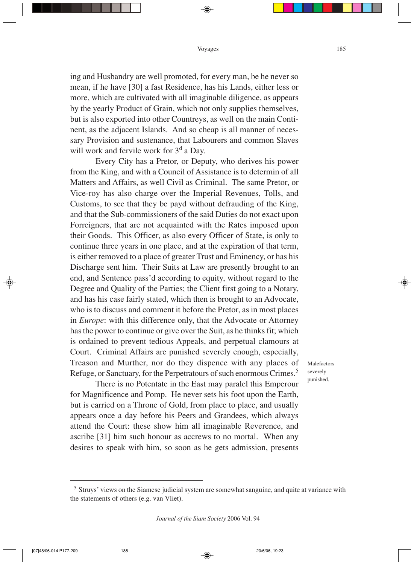ing and Husbandry are well promoted, for every man, be he never so mean, if he have [30] a fast Residence, has his Lands, either less or more, which are cultivated with all imaginable diligence, as appears by the yearly Product of Grain, which not only supplies themselves, but is also exported into other Countreys, as well on the main Continent, as the adjacent Islands. And so cheap is all manner of necessary Provision and sustenance, that Labourers and common Slaves will work and fervile work for  $3<sup>d</sup>$  a Day.

Every City has a Pretor, or Deputy, who derives his power from the King, and with a Council of Assistance is to determin of all Matters and Affairs, as well Civil as Criminal. The same Pretor, or Vice-roy has also charge over the Imperial Revenues, Tolls, and Customs, to see that they be payd without defrauding of the King, and that the Sub-commissioners of the said Duties do not exact upon Forreigners, that are not acquainted with the Rates imposed upon their Goods. This Officer, as also every Officer of State, is only to continue three years in one place, and at the expiration of that term, is either removed to a place of greater Trust and Eminency, or has his Discharge sent him. Their Suits at Law are presently brought to an end, and Sentence pass'd according to equity, without regard to the Degree and Quality of the Parties; the Client first going to a Notary, and has his case fairly stated, which then is brought to an Advocate, who is to discuss and comment it before the Pretor, as in most places in *Europe*: with this difference only, that the Advocate or Attorney has the power to continue or give over the Suit, as he thinks fit; which is ordained to prevent tedious Appeals, and perpetual clamours at Court. Criminal Affairs are punished severely enough, especially, Treason and Murther, nor do they dispence with any places of Refuge, or Sanctuary, for the Perpetratours of such enormous Crimes.<sup>5</sup>

There is no Potentate in the East may paralel this Emperour for Magnificence and Pomp. He never sets his foot upon the Earth, but is carried on a Throne of Gold, from place to place, and usually appears once a day before his Peers and Grandees, which always attend the Court: these show him all imaginable Reverence, and ascribe [31] him such honour as accrews to no mortal. When any desires to speak with him, so soon as he gets admission, presents

Malefactors severely punished.

<sup>&</sup>lt;sup>5</sup> Struys' views on the Siamese judicial system are somewhat sanguine, and quite at variance with the statements of others (e.g. van Vliet).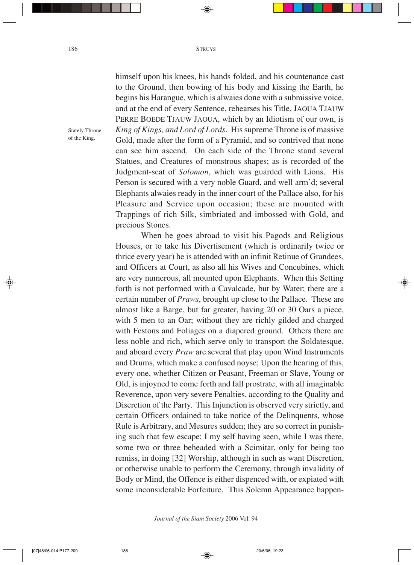himself upon his knees, his hands folded, and his countenance cast to the Ground, then bowing of his body and kissing the Earth, he begins his Harangue, which is alwaies done with a submissive voice, and at the end of every Sentence, rehearses his Title, JAOUA TJAUW PERRE BOEDE TJAUW JAOUA, which by an Idiotism of our own, is *King of Kings, and Lord of Lords*. His supreme Throne is of massive Gold, made after the form of a Pyramid, and so contrived that none can see him ascend. On each side of the Throne stand several Statues, and Creatures of monstrous shapes; as is recorded of the Judgment-seat of *Solomon*, which was guarded with Lions. His Person is secured with a very noble Guard, and well arm'd; several Elephants alwaies ready in the inner court of the Pallace also, for his Pleasure and Service upon occasion; these are mounted with Trappings of rich Silk, simbriated and imbossed with Gold, and precious Stones.

When he goes abroad to visit his Pagods and Religious Houses, or to take his Divertisement (which is ordinarily twice or thrice every year) he is attended with an infinit Retinue of Grandees, and Officers at Court, as also all his Wives and Concubines, which are very numerous, all mounted upon Elephants. When this Setting forth is not performed with a Cavalcade, but by Water; there are a certain number of *Praws*, brought up close to the Pallace. These are almost like a Barge, but far greater, having 20 or 30 Oars a piece, with 5 men to an Oar; without they are richly gilded and charged with Festons and Foliages on a diapered ground. Others there are less noble and rich, which serve only to transport the Soldatesque, and aboard every *Praw* are several that play upon Wind Instruments and Drums, which make a confused noyse; Upon the hearing of this, every one, whether Citizen or Peasant, Freeman or Slave, Young or Old, is injoyned to come forth and fall prostrate, with all imaginable Reverence, upon very severe Penalties, according to the Quality and Discretion of the Party. This Injunction is observed very strictly, and certain Officers ordained to take notice of the Delinquents, whose Rule is Arbitrary, and Mesures sudden; they are so correct in punishing such that few escape; I my self having seen, while I was there, some two or three beheaded with a Scimitar, only for being too remiss, in doing [32] Worship, although in such as want Discretion, or otherwise unable to perform the Ceremony, through invalidity of Body or Mind, the Offence is either dispenced with, or expiated with some inconsiderable Forfeiture. This Solemn Appearance happen-

*Journal of the Siam Society* 2006 Vol. 94

Stately Throne of the King.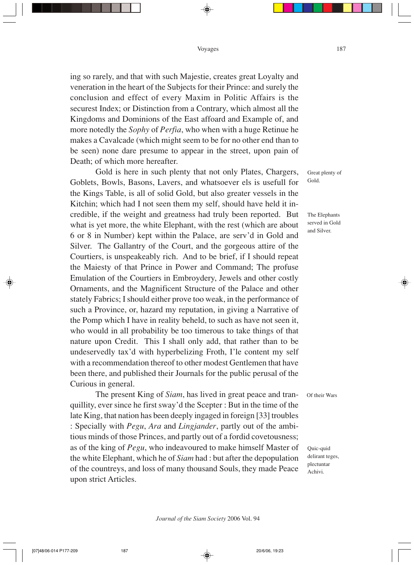ing so rarely, and that with such Majestie, creates great Loyalty and veneration in the heart of the Subjects for their Prince: and surely the conclusion and effect of every Maxim in Politic Affairs is the securest Index; or Distinction from a Contrary, which almost all the Kingdoms and Dominions of the East affoard and Example of, and more notedly the *Sophy* of *Perfia*, who when with a huge Retinue he makes a Cavalcade (which might seem to be for no other end than to be seen) none dare presume to appear in the street, upon pain of Death; of which more hereafter.

Gold is here in such plenty that not only Plates, Chargers, Goblets, Bowls, Basons, Lavers, and whatsoever els is usefull for the Kings Table, is all of solid Gold, but also greater vessels in the Kitchin; which had I not seen them my self, should have held it incredible, if the weight and greatness had truly been reported. But what is yet more, the white Elephant, with the rest (which are about 6 or 8 in Number) kept within the Palace, are serv'd in Gold and Silver. The Gallantry of the Court, and the gorgeous attire of the Courtiers, is unspeakeably rich. And to be brief, if I should repeat the Maiesty of that Prince in Power and Command; The profuse Emulation of the Courtiers in Embroydery, Jewels and other costly Ornaments, and the Magnificent Structure of the Palace and other stately Fabrics; I should either prove too weak, in the performance of such a Province, or, hazard my reputation, in giving a Narrative of the Pomp which I have in reality beheld, to such as have not seen it, who would in all probability be too timerous to take things of that nature upon Credit. This I shall only add, that rather than to be undeservedly tax'd with hyperbelizing Froth, I'le content my self with a recommendation thereof to other modest Gentlemen that have been there, and published their Journals for the public perusal of the Curious in general.

The present King of *Siam*, has lived in great peace and tranquillity, ever since he first sway'd the Scepter : But in the time of the late King, that nation has been deeply ingaged in foreign [33] troubles : Specially with *Pegu*, *Ara* and *Lingjander*, partly out of the ambitious minds of those Princes, and partly out of a fordid covetousness; as of the king of *Pegu*, who indeavoured to make himself Master of the white Elephant, which he of *Siam* had : but after the depopulation of the countreys, and loss of many thousand Souls, they made Peace upon strict Articles.

Great plenty of Gold.

The Elephants served in Gold and Silver.

Of their Wars

Quic-quid delirant teges, plectuntar Achivi.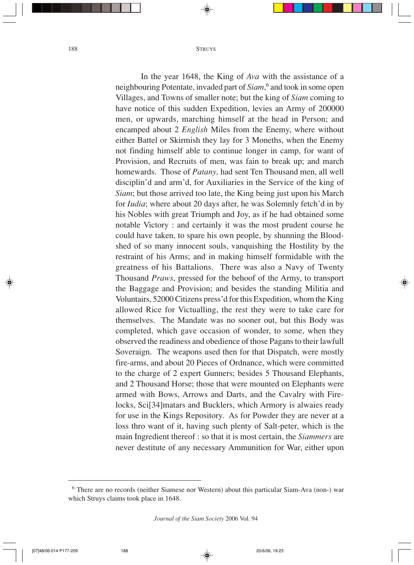In the year 1648, the King of *Ava* with the assistance of a neighbouring Potentate, invaded part of *Siam*, 6 and took in some open Villages, and Towns of smaller note; but the king of *Siam* coming to have notice of this sudden Expedition, levies an Army of 200000 men, or upwards, marching himself at the head in Person; and encamped about 2 *English* Miles from the Enemy, where without either Battel or Skirmish they lay for 3 Moneths, when the Enemy not finding himself able to continue longer in camp, for want of Provision, and Recruits of men, was fain to break up; and march homewards. Those of *Patany,* had sent Ten Thousand men, all well disciplin'd and arm'd, for Auxiliaries in the Service of the king of *Siam*; but those arrived too late, the King being just upon his March for *Iudia*; where about 20 days after, he was Solemnly fetch'd in by his Nobles with great Triumph and Joy, as if he had obtained some notable Victory : and certainly it was the most prudent course he could have taken, to spare his own people, by shunning the Bloodshed of so many innocent souls, vanquishing the Hostility by the restraint of his Arms; and in making himself formidable with the greatness of his Battalions. There was also a Navy of Twenty Thousand *Praws*, pressed for the behoof of the Army, to transport the Baggage and Provision; and besides the standing Militia and Voluntairs, 52000 Citizens press'd for this Expedition, whom the King allowed Rice for Victualling, the rest they were to take care for themselves. The Mandate was no sooner out, but this Body was completed, which gave occasion of wonder, to some, when they observed the readiness and obedience of those Pagans to their lawfull Soveraign. The weapons used then for that Dispatch, were mostly fire-arms, and about 20 Pieces of Ordnance, which were committed to the charge of 2 expert Gunners; besides 5 Thousand Elephants, and 2 Thousand Horse; those that were mounted on Elephants were armed with Bows, Arrows and Darts, and the Cavalry with Firelocks, Sci[34]matars and Bucklers, which Armory is alwaies ready for use in the Kings Repository. As for Powder they are never at a loss thro want of it, having such plenty of Salt-peter, which is the main Ingredient thereof : so that it is most certain, the *Siammers* are never destitute of any necessary Ammunition for War, either upon

<sup>6</sup> There are no records (neither Siamese nor Western) about this particular Siam-Ava (non-) war which Struys claims took place in 1648.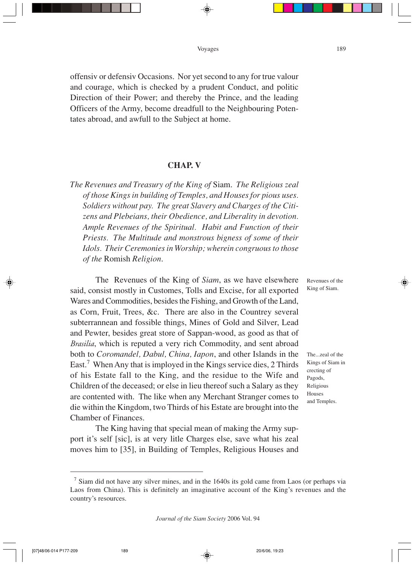offensiv or defensiv Occasions. Nor yet second to any for true valour and courage, which is checked by a prudent Conduct, and politic Direction of their Power; and thereby the Prince, and the leading Officers of the Army, become dreadfull to the Neighbouring Potentates abroad, and awfull to the Subject at home.

#### **CHAP. V**

*The Revenues and Treasury of the King of* Siam. *The Religious zeal of those Kings in building of Temples, and Houses for pious uses. Soldiers without pay. The great Slavery and Charges of the Citizens and Plebeians, their Obedience, and Liberality in devotion. Ample Revenues of the Spiritual. Habit and Function of their Priests. The Multitude and monstrous bigness of some of their Idols. Their Ceremonies in Worship; wherein congruous to those of the* Romish *Religion*.

The Revenues of the King of *Siam*, as we have elsewhere said, consist mostly in Customes, Tolls and Excise, for all exported Wares and Commodities, besides the Fishing, and Growth of the Land, as Corn, Fruit, Trees, &c. There are also in the Countrey several subterrannean and fossible things, Mines of Gold and Silver, Lead and Pewter, besides great store of Sappan-wood, as good as that of *Brasilia*, which is reputed a very rich Commodity, and sent abroad both to *Coromandel, Dabul, China, Iapon*, and other Islands in the East.<sup>7</sup> When Any that is imployed in the Kings service dies, 2 Thirds of his Estate fall to the King, and the residue to the Wife and Children of the deceased; or else in lieu thereof such a Salary as they are contented with. The like when any Merchant Stranger comes to die within the Kingdom, two Thirds of his Estate are brought into the Chamber of Finances.

The King having that special mean of making the Army support it's self [sic], is at very litle Charges else, save what his zeal moves him to [35], in Building of Temples, Religious Houses and

*Journal of the Siam Society* 2006 Vol. 94

Revenues of the King of Siam.

The...zeal of the Kings of Siam in crecting of Pagods, Religious Houses and Temples.

 $<sup>7</sup>$  Siam did not have any silver mines, and in the 1640s its gold came from Laos (or perhaps via</sup> Laos from China). This is definitely an imaginative account of the King's revenues and the country's resources.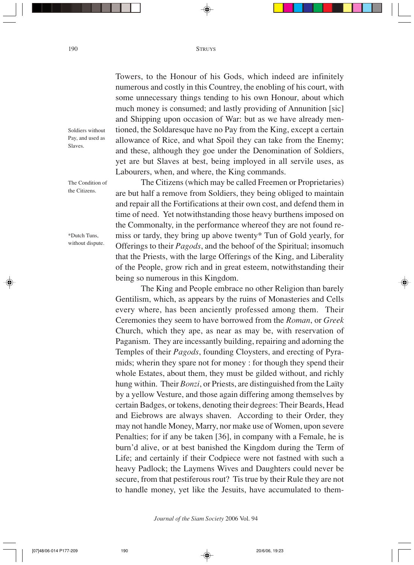Towers, to the Honour of his Gods, which indeed are infinitely numerous and costly in this Countrey, the enobling of his court, with some unnecessary things tending to his own Honour, about which much money is consumed; and lastly providing of Annunition [sic] and Shipping upon occasion of War: but as we have already mentioned, the Soldaresque have no Pay from the King, except a certain allowance of Rice, and what Spoil they can take from the Enemy; and these, although they goe under the Denomination of Soldiers, yet are but Slaves at best, being imployed in all servile uses, as Labourers, when, and where, the King commands.

The Citizens (which may be called Freemen or Proprietaries) are but half a remove from Soldiers, they being obliged to maintain and repair all the Fortifications at their own cost, and defend them in time of need. Yet notwithstanding those heavy burthens imposed on the Commonalty, in the performance whereof they are not found remiss or tardy, they bring up above twenty\* Tun of Gold yearly, for Offerings to their *Pagods*, and the behoof of the Spiritual; insomuch that the Priests, with the large Offerings of the King, and Liberality of the People, grow rich and in great esteem, notwithstanding their being so numerous in this Kingdom.

The King and People embrace no other Religion than barely Gentilism, which, as appears by the ruins of Monasteries and Cells every where, has been anciently professed among them. Their Ceremonies they seem to have borrowed from the *Roman*, or *Greek* Church, which they ape, as near as may be, with reservation of Paganism. They are incessantly building, repairing and adorning the Temples of their *Pagods*, founding Cloysters, and erecting of Pyramids; wherin they spare not for money : for though they spend their whole Estates, about them, they must be gilded without, and richly hung within. Their *Bonzi*, or Priests, are distinguished from the Laïty by a yellow Vesture, and those again differing among themselves by certain Badges, or tokens, denoting their degrees: Their Beards, Head and Eiebrows are always shaven. According to their Order, they may not handle Money, Marry, nor make use of Women, upon severe Penalties; for if any be taken [36], in company with a Female, he is burn'd alive, or at best banished the Kingdom during the Term of Life; and certainly if their Codpiece were not fastned with such a heavy Padlock; the Laymens Wives and Daughters could never be secure, from that pestiferous rout? Tis true by their Rule they are not to handle money, yet like the Jesuits, have accumulated to them-

*Journal of the Siam Society* 2006 Vol. 94

Soldiers without Pay, and used as Slaves.

The Condition of the Citizens.

\*Dutch Tuns, without dispute.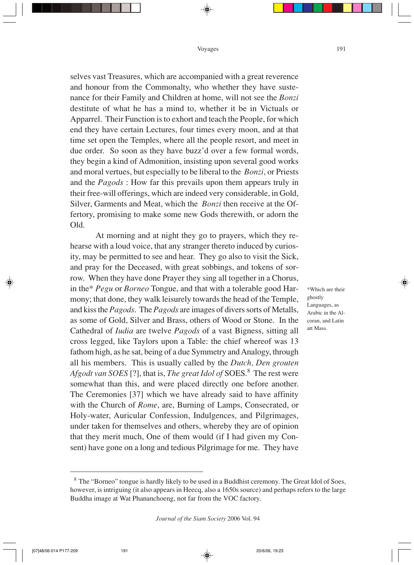selves vast Treasures, which are accompanied with a great reverence and honour from the Commonalty, who whether they have sustenance for their Family and Children at home, will not see the *Bonzi* destitute of what he has a mind to, whether it be in Victuals or Apparrel. Their Function is to exhort and teach the People, for which end they have certain Lectures, four times every moon, and at that time set open the Temples, where all the people resort, and meet in due order. So soon as they have buzz'd over a few formal words, they begin a kind of Admonition, insisting upon several good works and moral vertues, but especially to be liberal to the *Bonzi*, or Priests and the *Pagods* : How far this prevails upon them appears truly in their free-will offerings, which are indeed very considerable, in Gold, Silver, Garments and Meat, which the *Bonzi* then receive at the Offertory, promising to make some new Gods therewith, or adorn the Old.

At morning and at night they go to prayers, which they rehearse with a loud voice, that any stranger thereto induced by curiosity, may be permitted to see and hear. They go also to visit the Sick, and pray for the Deceased, with great sobbings, and tokens of sorrow. When they have done Prayer they sing all together in a Chorus, in the\* *Pegu* or *Borneo* Tongue, and that with a tolerable good Harmony; that done, they walk leisurely towards the head of the Temple, and kiss the *Pagods*. The *Pagods* are images of divers sorts of Metalls, as some of Gold, Silver and Brass, others of Wood or Stone. In the Cathedral of *Iudia* are twelve *Pagods* of a vast Bigness, sitting all cross legged, like Taylors upon a Table: the chief whereof was 13 fathom high, as he sat, being of a due Symmetry and Analogy, through all his members. This is usually called by the *Dutch, Den grouten* Afgodt van SOES<sup>[?]</sup>, that is, *The great Idol of* SOES.<sup>8</sup> The rest were somewhat than this, and were placed directly one before another. The Ceremonies [37] which we have already said to have affinity with the Church of *Rome*, are, Burning of Lamps, Consecrated, or Holy-water, Auricular Confession, Indulgences, and Pilgrimages, under taken for themselves and others, whereby they are of opinion that they merit much, One of them would (if I had given my Consent) have gone on a long and tedious Pilgrimage for me. They have

\*Which are their ghostly Languages, as Arabic in the Alcoran, and Latin att Mass.

<sup>8</sup> The "Borneo" tongue is hardly likely to be used in a Buddhist ceremony. The Great Idol of Soes, however, is intriguing (it also appears in Heecq, also a 1650s source) and perhaps refers to the large Buddha image at Wat Phananchoeng, not far from the VOC factory.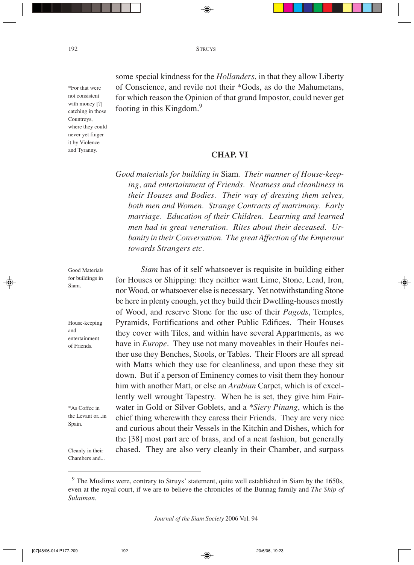\*For that were not consistent with money [?] catching in those Countreys, where they could never yet finger it by Violence and Tyranny.

Good Materials for buildings in Siam.

House-keeping

\*As Coffee in the Levant or...in

Cleanly in their Chambers and...

Spain.

and entertainment of Friends.

some special kindness for the *Hollanders*, in that they allow Liberty of Conscience, and revile not their \*Gods, as do the Mahumetans, for which reason the Opinion of that grand Impostor, could never get footing in this Kingdom.<sup>9</sup>

### **CHAP. VI**

*Good materials for building in* Siam*. Their manner of House-keeping, and entertainment of Friends. Neatness and cleanliness in their Houses and Bodies. Their way of dressing them selves, both men and Women. Strange Contracts of matrimony. Early marriage. Education of their Children. Learning and learned men had in great veneration. Rites about their deceased. Urbanity in their Conversation. The great Affection of the Emperour towards Strangers etc.*

*Siam* has of it self whatsoever is requisite in building either for Houses or Shipping: they neither want Lime, Stone, Lead, Iron, nor Wood, or whatsoever else is necessary. Yet notwithstanding Stone be here in plenty enough, yet they build their Dwelling-houses mostly of Wood, and reserve Stone for the use of their *Pagods*, Temples, Pyramids, Fortifications and other Public Edifices. Their Houses they cover with Tiles, and within have several Appartments, as we have in *Europe*. They use not many moveables in their Houfes neither use they Benches, Stools, or Tables. Their Floors are all spread with Matts which they use for cleanliness, and upon these they sit down. But if a person of Eminency comes to visit them they honour him with another Matt, or else an *Arabian* Carpet, which is of excellently well wrought Tapestry. When he is set, they give him Fairwater in Gold or Silver Goblets, and a \**Siery Pinang*, which is the chief thing wherewith they caress their Friends. They are very nice and curious about their Vessels in the Kitchin and Dishes, which for the [38] most part are of brass, and of a neat fashion, but generally chased. They are also very cleanly in their Chamber, and surpass

 $9$  The Muslims were, contrary to Struys' statement, quite well established in Siam by the 1650s, even at the royal court, if we are to believe the chronicles of the Bunnag family and *The Ship of Sulaiman*.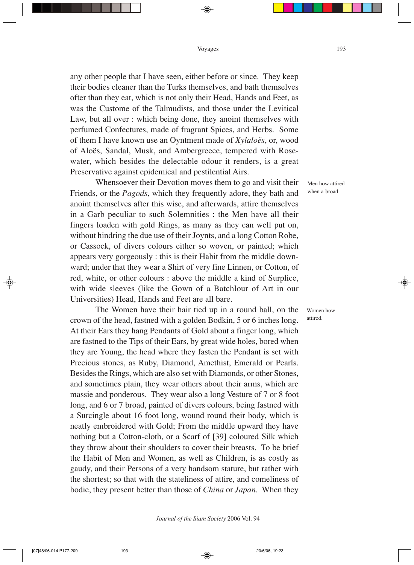any other people that I have seen, either before or since. They keep their bodies cleaner than the Turks themselves, and bath themselves ofter than they eat, which is not only their Head, Hands and Feet, as was the Custome of the Talmudists, and those under the Levitical Law, but all over : which being done, they anoint themselves with perfumed Confectures, made of fragrant Spices, and Herbs. Some of them I have known use an Oyntment made of *Xylaloës*, or, wood of Aloës, Sandal, Musk, and Ambergreece, tempered with Rosewater, which besides the delectable odour it renders, is a great Preservative against epidemical and pestilential Airs.

Whensoever their Devotion moves them to go and visit their Friends, or the *Pagods*, which they frequently adore, they bath and anoint themselves after this wise, and afterwards, attire themselves in a Garb peculiar to such Solemnities : the Men have all their fingers loaden with gold Rings, as many as they can well put on, without hindring the due use of their Joynts, and a long Cotton Robe, or Cassock, of divers colours either so woven, or painted; which appears very gorgeously : this is their Habit from the middle downward; under that they wear a Shirt of very fine Linnen, or Cotton, of red, white, or other colours : above the middle a kind of Surplice, with wide sleeves (like the Gown of a Batchlour of Art in our Universities) Head, Hands and Feet are all bare.

The Women have their hair tied up in a round ball, on the crown of the head, fastned with a golden Bodkin, 5 or 6 inches long. At their Ears they hang Pendants of Gold about a finger long, which are fastned to the Tips of their Ears, by great wide holes, bored when they are Young, the head where they fasten the Pendant is set with Precious stones, as Ruby, Diamond, Amethist, Emerald or Pearls. Besides the Rings, which are also set with Diamonds, or other Stones, and sometimes plain, they wear others about their arms, which are massie and ponderous. They wear also a long Vesture of 7 or 8 foot long, and 6 or 7 broad, painted of divers colours, being fastned with a Surcingle about 16 foot long, wound round their body, which is neatly embroidered with Gold; From the middle upward they have nothing but a Cotton-cloth, or a Scarf of [39] coloured Silk which they throw about their shoulders to cover their breasts. To be brief the Habit of Men and Women, as well as Children, is as costly as gaudy, and their Persons of a very handsom stature, but rather with the shortest; so that with the stateliness of attire, and comeliness of bodie, they present better than those of *China* or *Japan*. When they

*Journal of the Siam Society* 2006 Vol. 94

Men how attired when a-broad.

Women how attired.

[07]48/06-014 P177-209 193 20/6/06, 19:23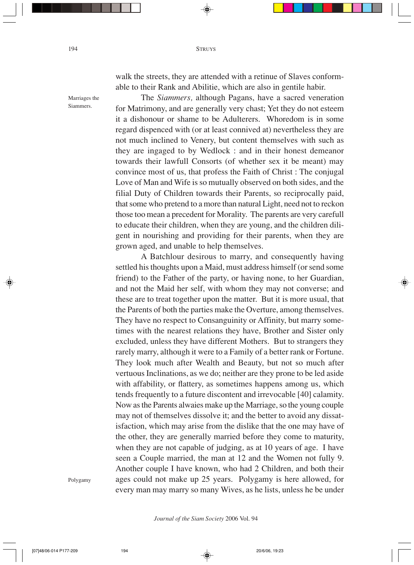walk the streets, they are attended with a retinue of Slaves conformable to their Rank and Abilitie, which are also in gentile habir.

The *Siammers,* although Pagans, have a sacred veneration for Matrimony, and are generally very chast; Yet they do not esteem it a dishonour or shame to be Adulterers. Whoredom is in some regard dispenced with (or at least connived at) nevertheless they are not much inclined to Venery, but content themselves with such as they are ingaged to by Wedlock : and in their honest demeanor towards their lawfull Consorts (of whether sex it be meant) may convince most of us, that profess the Faith of Christ : The conjugal Love of Man and Wife is so mutually observed on both sides, and the filial Duty of Children towards their Parents, so reciprocally paid, that some who pretend to a more than natural Light, need not to reckon those too mean a precedent for Morality. The parents are very carefull to educate their children, when they are young, and the children diligent in nourishing and providing for their parents, when they are grown aged, and unable to help themselves.

A Batchlour desirous to marry, and consequently having settled his thoughts upon a Maid, must address himself (or send some friend) to the Father of the party, or having none, to her Guardian, and not the Maid her self, with whom they may not converse; and these are to treat together upon the matter. But it is more usual, that the Parents of both the parties make the Overture, among themselves. They have no respect to Consanguinity or Affinity, but marry sometimes with the nearest relations they have, Brother and Sister only excluded, unless they have different Mothers. But to strangers they rarely marry, although it were to a Family of a better rank or Fortune. They look much after Wealth and Beauty, but not so much after vertuous Inclinations, as we do; neither are they prone to be led aside with affability, or flattery, as sometimes happens among us, which tends frequently to a future discontent and irrevocable [40] calamity. Now as the Parents alwaies make up the Marriage, so the young couple may not of themselves dissolve it; and the better to avoid any dissatisfaction, which may arise from the dislike that the one may have of the other, they are generally married before they come to maturity, when they are not capable of judging, as at 10 years of age. I have seen a Couple married, the man at 12 and the Women not fully 9. Another couple I have known, who had 2 Children, and both their ages could not make up 25 years. Polygamy is here allowed, for every man may marry so many Wives, as he lists, unless he be under

Polygamy

*Journal of the Siam Society* 2006 Vol. 94

Marriages the Siammers.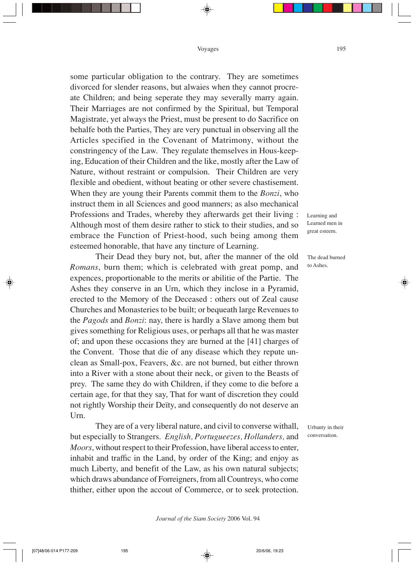some particular obligation to the contrary. They are sometimes divorced for slender reasons, but alwaies when they cannot procreate Children; and being seperate they may severally marry again. Their Marriages are not confirmed by the Spiritual, but Temporal Magistrate, yet always the Priest, must be present to do Sacrifice on behalfe both the Parties, They are very punctual in observing all the Articles specified in the Covenant of Matrimony, without the constringency of the Law. They regulate themselves in Hous-keeping, Education of their Children and the like, mostly after the Law of Nature, without restraint or compulsion. Their Children are very flexible and obedient, without beating or other severe chastisement. When they are young their Parents commit them to the *Bonzi*, who instruct them in all Sciences and good manners; as also mechanical Professions and Trades, whereby they afterwards get their living : Although most of them desire rather to stick to their studies, and so embrace the Function of Priest-hood, such being among them esteemed honorable, that have any tincture of Learning.

Their Dead they bury not, but, after the manner of the old *Romans*, burn them; which is celebrated with great pomp, and expences, proportionable to the merits or abilitie of the Partie. The Ashes they conserve in an Urn, which they inclose in a Pyramid, erected to the Memory of the Deceased : others out of Zeal cause Churches and Monasteries to be built; or bequeath large Revenues to the *Pagods* and *Bonzi*: nay, there is hardly a Slave among them but gives something for Religious uses, or perhaps all that he was master of; and upon these occasions they are burned at the [41] charges of the Convent. Those that die of any disease which they repute unclean as Small-pox, Feavers, &c. are not burned, but either thrown into a River with a stone about their neck, or given to the Beasts of prey. The same they do with Children, if they come to die before a certain age, for that they say, That for want of discretion they could not rightly Worship their Deïty, and consequently do not deserve an Urn.

They are of a very liberal nature, and civil to converse withall, but especially to Strangers. *English, Portugueezes, Hollanders,* and *Moors*, without respeεt to their Profession, have liberal access to enter, inhabit and traffic in the Land, by order of the King; and enjoy as much Liberty, and benefit of the Law, as his own natural subjects; which draws abundance of Forreigners, from all Countreys, who come thither, either upon the accout of Commerce, or to seek protection.

*Journal of the Siam Society* 2006 Vol. 94

Learning and Learned men in great esteem.

The dead burned to Ashes.

Urbanty in their conversation.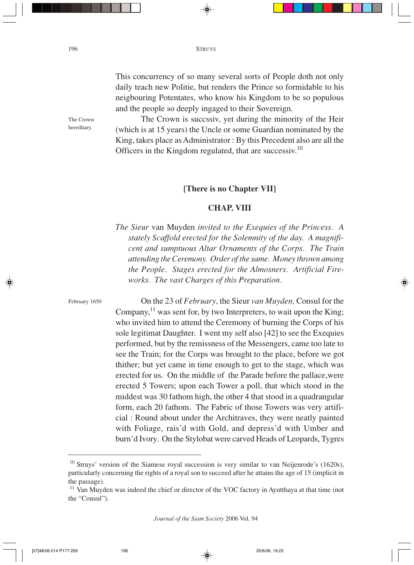This concurrency of so many several sorts of People doth not only daily teach new Politie, but renders the Prince so formidable to his neigbouring Potentates, who know his Kingdom to be so populous and the people so deeply ingaged to their Sovereign.

The Crown hereditary.

The Crown is succssiv, yet during the minority of the Heir (which is at 15 years) the Uncle or some Guardian nominated by the King, takes place as Administrator : By this Precedent also are all the Officers in the Kingdom regulated, that are successiv.<sup>10</sup>

#### **[There is no Chapter VII]**

#### **CHAP. VIII**

*The Sieur* van Muyden *invited to the Exequies of the Princess. A stately Scaffold erected for the Solemnity of the day. A magnificent and sumptuous Altar Ornaments of the Corps. The Train attending the Ceremony. Order of the same. Money thrown among the People. Stages erected for the Almosners. Artificial Fireworks. The vast Charges of this Preparation.*

February 1650

On the 23 of *February*, the Sieur *van Muyden,* Consul for the Company, $^{11}$  was sent for, by two Interpreters, to wait upon the King; who invited him to attend the Ceremony of burning the Corps of his sole legitimat Daughter. I went my self also [42] to see the Exequies performed, but by the remissness of the Messengers, came too late to see the Train; for the Corps was brought to the place, before we got thither; but yet came in time enough to get to the stage, which was erected for us. On the middle of the Parade before the pallace,were erected 5 Towers; upon each Tower a poll, that which stood in the middest was 30 fathom high, the other 4 that stood in a quadrangular form, each 20 fathom. The Fabric of those Towers was very artificial : Round about under the Architraves, they were neatly painted with Foliage, rais'd with Gold, and depress'd with Umber and burn'd Ivory. On the Stylobat were carved Heads of Leopards, Tygres

<sup>&</sup>lt;sup>10</sup> Struys' version of the Siamese royal succession is very similar to van Neijenrode's (1620s), particularly concerning the rights of a royal son to succeed after he attains the age of 15 (implicit in the passage).

<sup>&</sup>lt;sup>11</sup> Van Muyden was indeed the chief or director of the VOC factory in Ayutthaya at that time (not the "Consul").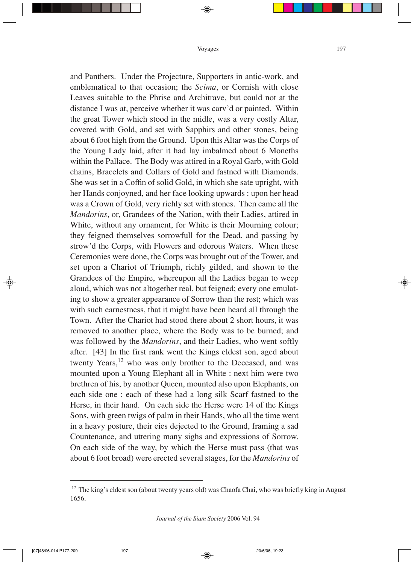and Panthers. Under the Projecture, Supporters in antic-work, and emblematical to that occasion; the *Scima*, or Cornish with close Leaves suitable to the Phrise and Architrave, but could not at the distance I was at, perceive whether it was carv'd or painted. Within the great Tower which stood in the midle, was a very costly Altar, covered with Gold, and set with Sapphirs and other stones, being about 6 foot high from the Ground. Upon this Altar was the Corps of the Young Lady laid, after it had lay imbalmed about 6 Moneths within the Pallace. The Body was attired in a Royal Garb, with Gold chains, Bracelets and Collars of Gold and fastned with Diamonds. She was set in a Coffin of solid Gold, in which she sate upright, with her Hands conjoyned, and her face looking upwards : upon her head was a Crown of Gold, very richly set with stones. Then came all the *Mandorins*, or, Grandees of the Nation, with their Ladies, attired in White, without any ornament, for White is their Mourning colour; they feigned themselves sorrowfull for the Dead, and passing by strow'd the Corps, with Flowers and odorous Waters. When these Ceremonies were done, the Corps was brought out of the Tower, and set upon a Chariot of Triumph, richly gilded, and shown to the Grandees of the Empire, whereupon all the Ladies began to weep aloud, which was not altogether real, but feigned; every one emulating to show a greater appearance of Sorrow than the rest; which was with such earnestness, that it might have been heard all through the Town. After the Chariot had stood there about 2 short hours, it was removed to another place, where the Body was to be burned; and was followed by the *Mandorins*, and their Ladies, who went softly after. [43] In the first rank went the Kings eldest son, aged about twenty Years,<sup>12</sup> who was only brother to the Deceased, and was mounted upon a Young Elephant all in White : next him were two brethren of his, by another Queen, mounted also upon Elephants, on each side one : each of these had a long silk Scarf fastned to the Herse, in their hand. On each side the Herse were 14 of the Kings Sons, with green twigs of palm in their Hands, who all the time went in a heavy posture, their eies dejected to the Ground, framing a sad Countenance, and uttering many sighs and expressions of Sorrow. On each side of the way, by which the Herse must pass (that was about 6 foot broad) were erected several stages, for the *Mandorins* of

<sup>&</sup>lt;sup>12</sup> The king's eldest son (about twenty years old) was Chaofa Chai, who was briefly king in August 1656.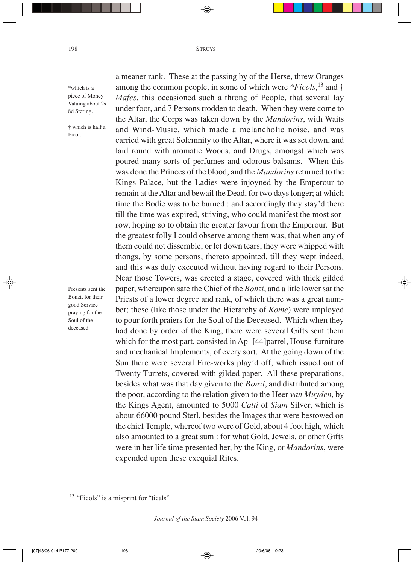\*which is a piece of Money Valuing about 2s 8d Stering.

† which is half a Ficol.

Presents sent the Bonzi, for their good Service praying for the Soul of the deceased.

a meaner rank. These at the passing by of the Herse, threw Oranges among the common people, in some of which were \**Ficols*, 13 and † *Mafes*. this occasioned such a throng of People, that several lay under foot, and 7 Persons trodden to death. When they were come to the Altar, the Corps was taken down by the *Mandorins*, with Waits and Wind-Music, which made a melancholic noise, and was carried with great Solemnity to the Altar, where it was set down, and laid round with aromatic Woods, and Drugs, amongst which was poured many sorts of perfumes and odorous balsams. When this was done the Princes of the blood, and the *Mandorins* returned to the Kings Palace, but the Ladies were injoyned by the Emperour to remain at the Altar and bewail the Dead, for two days longer; at which time the Bodie was to be burned : and accordingly they stay'd there till the time was expired, striving, who could manifest the most sorrow, hoping so to obtain the greater favour from the Emperour. But the greatest folly I could observe among them was, that when any of them could not dissemble, or let down tears, they were whipped with thongs, by some persons, thereto appointed, till they wept indeed, and this was duly executed without having regard to their Persons. Near those Towers, was erected a stage, covered with thick gilded paper, whereupon sate the Chief of the *Bonzi*, and a litle lower sat the Priests of a lower degree and rank, of which there was a great number; these (like those under the Hierarchy of *Rome*) were imployed to pour forth praiers for the Soul of the Deceased. Which when they had done by order of the King, there were several Gifts sent them which for the most part, consisted in Ap- [44]parrel, House-furniture and mechanical Implements, of every sort. At the going down of the Sun there were several Fire-works play'd off, which issued out of Twenty Turrets, covered with gilded paper. All these preparations, besides what was that day given to the *Bonzi*, and distributed among the poor, according to the relation given to the Heer *van Muyden*, by the Kings Agent, amounted to 5000 *Catti* of *Siam* Silver, which is about 66000 pound Sterl, besides the Images that were bestowed on the chief Temple, whereof two were of Gold, about 4 foot high, which also amounted to a great sum : for what Gold, Jewels, or other Gifts were in her life time presented her, by the King, or *Mandorins*, were expended upon these exequial Rites.

<sup>&</sup>lt;sup>13</sup> "Ficols" is a misprint for "ticals"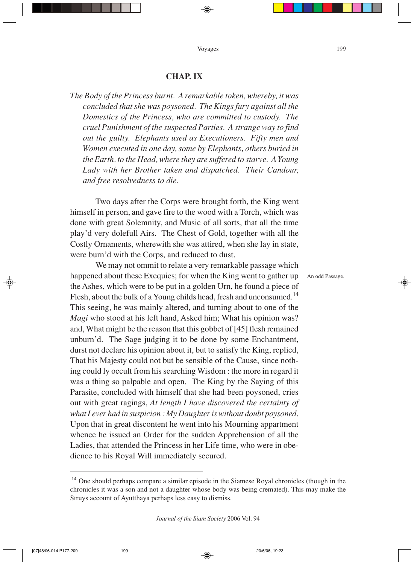# **CHAP. IX**

*The Body of the Princess burnt. A remarkable token, whereby, it was concluded that she was poysoned. The Kings fury against all the Domestics of the Princess, who are committed to custody. The cruel Punishment of the suspected Parties. A strange way to find out the guilty. Elephants used as Executioners. Fifty men and Women executed in one day, some by Elephants, others buried in the Earth, to the Head, where they are suffered to starve. A Young Lady with her Brother taken and dispatched. Their Candour, and free resolvedness to die.*

Two days after the Corps were brought forth, the King went himself in person, and gave fire to the wood with a Torch, which was done with great Solemnity, and Music of all sorts, that all the time play'd very dolefull Airs. The Chest of Gold, together with all the Costly Ornaments, wherewith she was attired, when she lay in state, were burn'd with the Corps, and reduced to dust.

We may not ommit to relate a very remarkable passage which happened about these Exequies; for when the King went to gather up the Ashes, which were to be put in a golden Urn, he found a piece of Flesh, about the bulk of a Young childs head, fresh and unconsumed.<sup>14</sup> This seeing, he was mainly altered, and turning about to one of the *Magi* who stood at his left hand, Asked him; What his opinion was? and, What might be the reason that this gobbet of [45] flesh remained unburn'd. The Sage judging it to be done by some Enchantment, durst not declare his opinion about it, but to satisfy the King, replied, That his Majesty could not but be sensible of the Cause, since nothing could ly occult from his searching Wisdom : the more in regard it was a thing so palpable and open. The King by the Saying of this Parasite, concluded with himself that she had been poysoned, cries out with great ragings, *At length I have discovered the certainty of what I ever had in suspicion : My Daughter is without doubt poysoned*. Upon that in great discontent he went into his Mourning appartment whence he issued an Order for the sudden Apprehension of all the Ladies, that attended the Princess in her Life time, who were in obedience to his Royal Will immediately secured.

*Journal of the Siam Society* 2006 Vol. 94

An odd Passage.

<sup>&</sup>lt;sup>14</sup> One should perhaps compare a similar episode in the Siamese Royal chronicles (though in the chronicles it was a son and not a daughter whose body was being cremated). This may make the Struys account of Ayutthaya perhaps less easy to dismiss.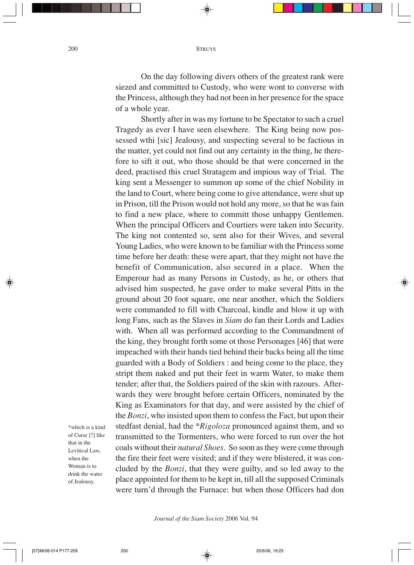On the day following divers others of the greatest rank were siezed and committed to Custody, who were wont to converse with the Princess, although they had not been in her presence for the space of a whole year.

Shortly after in was my fortune to be Spectator to such a cruel Tragedy as ever I have seen elsewhere. The King being now possessed wthi [sic] Jealousy, and suspecting several to be factious in the matter, yet could not find out any certainty in the thing, he therefore to sift it out, who those should be that were concerned in the deed, practised this cruel Stratagem and impious way of Trial. The king sent a Messenger to summon up some of the chief Nobility in the land to Court, where being come to give attendance, were shut up in Prison, till the Prison would not hold any more, so that he was fain to find a new place, where to committ those unhappy Gentlemen. When the principal Officers and Courtiers were taken into Security. The king not contented so, sent also for their Wives, and several Young Ladies, who were known to be familiar with the Princess some time before her death: these were apart, that they might not have the benefit of Communication, also secured in a place. When the Emperour had as many Persons in Custody, as he, or others that advised him suspected, he gave order to make several Pitts in the ground about 20 foot square, one near another, which the Soldiers were commanded to fill with Charcoal, kindle and blow it up with long Fans, such as the Slaves in *Siam* do fan their Lords and Ladies with. When all was performed according to the Commandment of the king, they brought forth some ot those Personages [46] that were impeached with their hands tied behind their backs being all the time guarded with a Body of Soldiers : and being come to the place, they stript them naked and put their feet in warm Water, to make them tender; after that, the Soldiers paired of the skin with razours. Afterwards they were brought before certain Officers, nominated by the King as Examinators for that day, and were assisted by the chief of the *Bonzi*, who insisted upon them to confess the Fact, but upon their stedfast denial, had the \**Rigoloza* pronounced against them, and so transmitted to the Tormenters, who were forced to run over the hot coals without their *natural Shoes*. So soon as they were come through the fire their feet were visited; and if they were blistered, it was concluded by the *Bonzi*, that they were guilty, and so led away to the place appointed for them to be kept in, till all the supposed Criminals were turn'd through the Furnace: but when those Officers had don

\*which is a kind of Curse [?] like that in the Levitical Law, when the Woman is to drink the water of Jealousy.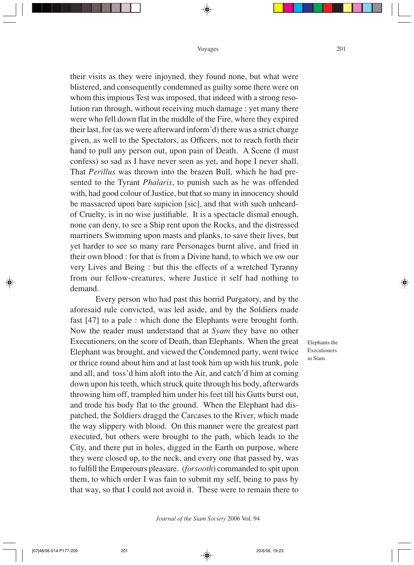their visits as they were injoyned, they found none, but what were blistered, and consequently condemned as guilty some there were on whom this impious Test was imposed, that indeed with a strong resolution ran through, without receiving much damage : yet many there were who fell down flat in the middle of the Fire, where they expired their last, for (as we were afterward inform'd) there was a strict charge given, as well to the Spectators, as Officers, not to reach forth their hand to pull any person out, upon pain of Death. A Scene (I must confess) so sad as I have never seen as yet, and hope I never shall. That *Perillus* was thrown into the brazen Bull, which he had presented to the Tyrant *Phalaris*, to punish such as he was offended with, had good colour of Justice, but that so many in innocency should be massacred upon bare supicion [sic], and that with such unheardof Cruelty, is in no wise justifiable. It is a spectacle dismal enough, none can deny, to see a Ship rent upon the Rocks, and the distressed marriners Swimming upon masts and planks, to save their lives, but yet harder to see so many rare Personages burnt alive, and fried in their own blood : for that is from a Divine hand, to which we ow our very Lives and Being : but this the effects of a wretched Tyranny from our fellow-creatures, where Justice it self had nothing to demand.

Every person who had past this horrid Purgatory, and by the aforesaid rule convicted, was led aside, and by the Soldiers made fast [47] to a pale : which done the Elephants were brought forth. Now the reader must understand that at *Syam* they have no other Executioners, on the score of Death, than Elephants. When the great Elephant was brought, and viewed the Condemned party, went twice or thrice round about him and at last took him up with his trunk, pole and all, and toss'd him aloft into the Air, and catch'd him at coming down upon his teeth, which struck quite through his body, afterwards throwing him off, trampled him under his feet till his Gutts burst out, and trode his body flat to the ground. When the Elephant had dispatched, the Soldiers draggd the Carcases to the River, which made the way slippery with blood. On this manner were the greatest part executed, but others were brought to the path, which leads to the City, and there put in holes, digged in the Earth on purpose, where they were closed up, to the neck, and every one that passed by, was to fulfill the Emperours pleasure. (*forsooth*) commanded to spit upon them, to which order I was fain to submit my self, being to pass by that way, so that I could not avoid it. These were to remain there to

Elephants the Executioners in Siam.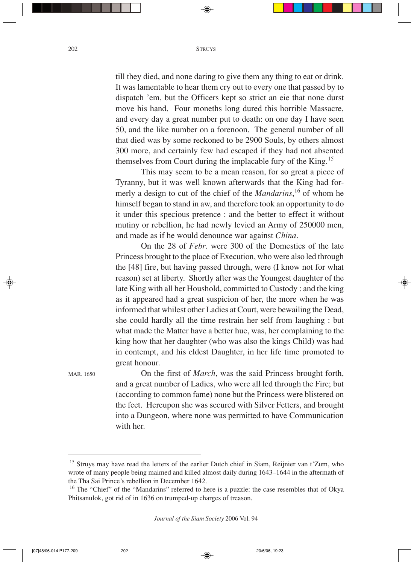till they died, and none daring to give them any thing to eat or drink. It was lamentable to hear them cry out to every one that passed by to dispatch 'em, but the Officers kept so strict an eie that none durst move his hand. Four moneths long dured this horrible Massacre, and every day a great number put to death: on one day I have seen 50, and the like number on a forenoon. The general number of all that died was by some reckoned to be 2900 Souls, by others almost 300 more, and certainly few had escaped if they had not absented themselves from Court during the implacable fury of the King.<sup>15</sup>

This may seem to be a mean reason, for so great a piece of Tyranny, but it was well known afterwards that the King had formerly a design to cut of the chief of the *Mandarins*, 16 of whom he himself began to stand in aw, and therefore took an opportunity to do it under this specious pretence : and the better to effect it without mutiny or rebellion, he had newly levied an Army of 250000 men, and made as if he would denounce war against *China*.

On the 28 of *Febr*. were 300 of the Domestics of the late Princess brought to the place of Execution, who were also led through the [48] fire, but having passed through, were (I know not for what reason) set at liberty. Shortly after was the Youngest daughter of the late King with all her Houshold, committed to Custody : and the king as it appeared had a great suspicion of her, the more when he was informed that whilest other Ladies at Court, were bewailing the Dead, she could hardly all the time restrain her self from laughing : but what made the Matter have a better hue, was, her complaining to the king how that her daughter (who was also the kings Child) was had in contempt, and his eldest Daughter, in her life time promoted to great honour.

MAR. 1650

On the first of *March*, was the said Princess brought forth, and a great number of Ladies, who were all led through the Fire; but (according to common fame) none but the Princess were blistered on the feet. Hereupon she was secured with Silver Fetters, and brought into a Dungeon, where none was permitted to have Communication with her.

<sup>&</sup>lt;sup>15</sup> Struys may have read the letters of the earlier Dutch chief in Siam, Reijnier van t'Zum, who wrote of many people being maimed and killed almost daily during 1643–1644 in the aftermath of the Tha Sai Prince's rebellion in December 1642.

<sup>&</sup>lt;sup>16</sup> The "Chief" of the "Mandarins" referred to here is a puzzle: the case resembles that of Okya Phitsanulok, got rid of in 1636 on trumped-up charges of treason.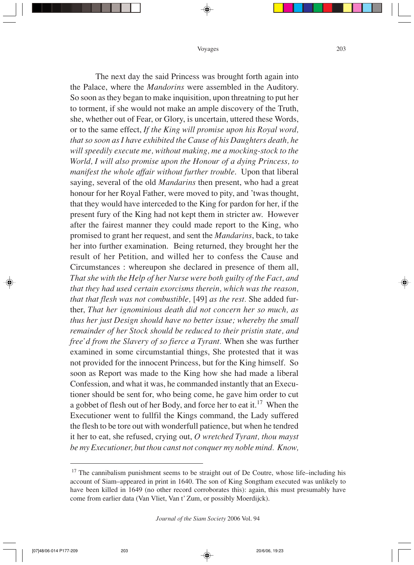The next day the said Princess was brought forth again into the Palace, where the *Mandorins* were assembled in the Auditory. So soon as they began to make inquisition, upon threatning to put her to torment, if she would not make an ample discovery of the Truth, she, whether out of Fear, or Glory, is uncertain, uttered these Words, or to the same effect, *If the King will promise upon his Royal word, that so soon as I have exhibited the Cause of his Daughters death, he will speedily execute me, without making, me a mocking-stock to the World, I will also promise upon the Honour of a dying Princess, to manifest the whole affair without further trouble*. Upon that liberal saying, several of the old *Mandarins* then present, who had a great honour for her Royal Father, were moved to pity, and 'twas thought, that they would have interceded to the King for pardon for her, if the present fury of the King had not kept them in stricter aw. However after the fairest manner they could made report to the King, who promised to grant her request, and sent the *Mandarins*, back, to take her into further examination. Being returned, they brought her the result of her Petition, and willed her to confess the Cause and Circumstances : whereupon she declared in presence of them all, *That she with the Help of her Nurse were both guilty of the Fact, and that they had used certain exorcisms therein, which was the reason, that that flesh was not combustible,* [49] *as the rest.* She added further, *That her ignominious death did not concern her so much, as thus her just Design should have no better issue; whereby the small remainder of her Stock should be reduced to their pristin state, and free'd from the Slavery of so fierce a Tyrant.* When she was further examined in some circumstantial things, She protested that it was not provided for the innocent Princess, but for the King himself. So soon as Report was made to the King how she had made a liberal Confession, and what it was, he commanded instantly that an Executioner should be sent for, who being come, he gave him order to cut a gobbet of flesh out of her Body, and force her to eat it.<sup>17</sup> When the Executioner went to fullfil the Kings command, the Lady suffered the flesh to be tore out with wonderfull patience, but when he tendred it her to eat, she refused, crying out, *O wretched Tyrant, thou mayst be my Executioner, but thou canst not conquer my noble mind. Know,*

<sup>&</sup>lt;sup>17</sup> The cannibalism punishment seems to be straight out of De Coutre, whose life–including his account of Siam–appeared in print in 1640. The son of King Songtham executed was unlikely to have been killed in 1649 (no other record corroborates this): again, this must presumably have come from earlier data (Van Vliet, Van t' Zum, or possibly Moerdijck).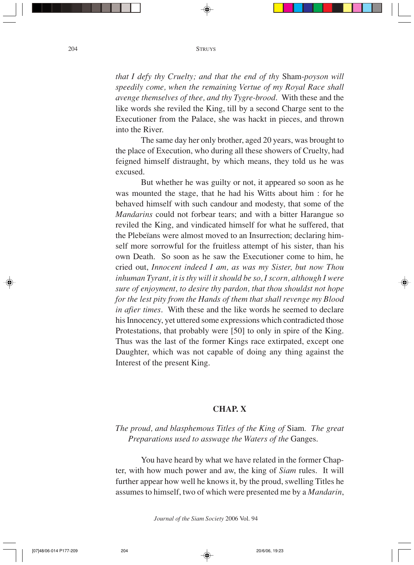*that I defy thy Cruelty; and that the end of thy* Sham-*poyson will speedily come, when the remaining Vertue of my Royal Race shall avenge themselves of thee, and thy Tygre-brood*. With these and the like words she reviled the King, till by a second Charge sent to the Executioner from the Palace, she was hackt in pieces, and thrown into the River.

The same day her only brother, aged 20 years, was brought to the place of Execution, who during all these showers of Cruelty, had feigned himself distraught, by which means, they told us he was excused.

But whether he was guilty or not, it appeared so soon as he was mounted the stage, that he had his Witts about him : for he behaved himself with such candour and modesty, that some of the *Mandarins* could not forbear tears; and with a bitter Harangue so reviled the King, and vindicated himself for what he suffered, that the Plebeïans were almost moved to an Insurrection; declaring himself more sorrowful for the fruitless attempt of his sister, than his own Death. So soon as he saw the Executioner come to him, he cried out, *Innocent indeed I am, as was my Sister, but now Thou inhuman Tyrant, it is thy will it should be so, I scorn, although I were sure of enjoyment, to desire thy pardon, that thou shouldst not hope for the lest pity from the Hands of them that shall revenge my Blood in afier times*. With these and the like words he seemed to declare his Innocency, yet uttered some expressions which contradicted those Protestations, that probably were [50] to only in spire of the King. Thus was the last of the former Kings race extirpated, except one Daughter, which was not capable of doing any thing against the Interest of the present King.

#### **CHAP. X**

# *The proud, and blasphemous Titles of the King of* Siam*. The great Preparations used to asswage the Waters of the* Ganges.

You have heard by what we have related in the former Chapter, with how much power and aw, the king of *Siam* rules. It will further appear how well he knows it, by the proud, swelling Titles he assumes to himself, two of which were presented me by a *Mandarin*,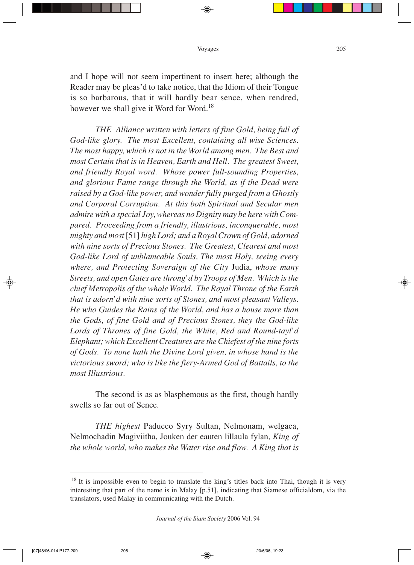and I hope will not seem impertinent to insert here; although the Reader may be pleas'd to take notice, that the Idiom of their Tongue is so barbarous, that it will hardly bear sence, when rendred, however we shall give it Word for Word.<sup>18</sup>

*THE Alliance written with letters of fine Gold, being full of God-like glory. The most Excellent, containing all wise Sciences. The most happy, which is not in the World among men. The Best and most Certain that is in Heaven, Earth and Hell. The greatest Sweet, and friendly Royal word. Whose power full-sounding Properties, and glorious Fame range through the World, as if the Dead were raised by a God-like power, and wonder fully purged from a Ghostly and Corporal Corruption. At this both Spiritual and Secular men admire with a special Joy, whereas no Dignity may be here with Compared. Proceeding from a friendly, illustrious, inconquerable, most mighty and most* [51] *high Lord; and a Royal Crown of Gold, adorned with nine sorts of Precious Stones. The Greatest, Clearest and most God-like Lord of unblameable Souls, The most Holy, seeing every where, and Protecting Soveraign of the City* Judia, *whose many Streets, and open Gates are throng'd by Troops of Men. Which is the chief Metropolis of the whole World. The Royal Throne of the Earth that is adorn'd with nine sorts of Stones, and most pleasant Valleys. He who Guides the Rains of the World, and has a house more than the Gods, of fine Gold and of Precious Stones, they the God-like Lords of Thrones of fine Gold, the White, Red and Round-tayl'd Elephant; which Excellent Creatures are the Chiefest of the nine forts of Gods. To none hath the Divine Lord given, in whose hand is the victorious sword; who is like the fiery-Armed God of Battails, to the most Illustrious.*

The second is as as blasphemous as the first, though hardly swells so far out of Sence.

*THE highest* Paducco Syry Sultan, Nelmonam, welgaca, Nelmochadin Magiviitha, Jouken der eauten lillaula fylan, *King of the whole world, who makes the Water rise and flow. A King that is*

<sup>&</sup>lt;sup>18</sup> It is impossible even to begin to translate the king's titles back into Thai, though it is very interesting that part of the name is in Malay [p.51], indicating that Siamese officialdom, via the translators, used Malay in communicating with the Dutch.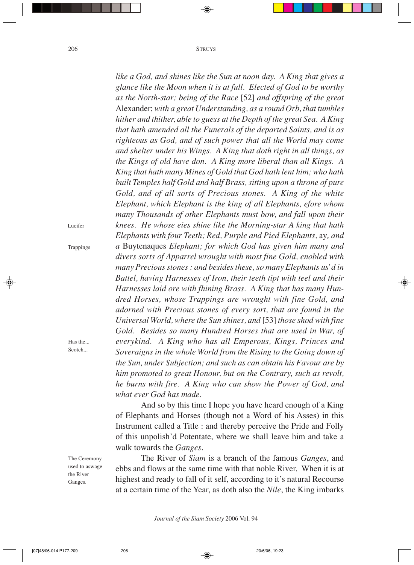*like a God, and shines like the Sun at noon day. A King that gives a glance like the Moon when it is at full. Elected of God to be worthy as the North-star; being of the Race* [52] *and offspring of the great* Alexander; *with a great Understanding, as a round Orb, that tumbles hither and thither, able to guess at the Depth of the great Sea. A King that hath amended all the Funerals of the departed Saints, and is as righteous as God, and of such power that all the World may come and shelter under his Wings. A King that doth right in all things, as the Kings of old have don. A King more liberal than all Kings. A King that hath many Mines of Gold that God hath lent him; who hath built Temples half Gold and half Brass, sitting upon a throne of pure Gold, and of all sorts of Precious stones. A King of the white Elephant, which Elephant is the king of all Elephants, efore whom many Thousands of other Elephants must bow, and fall upon their knees. He whose eies shine like the Morning-star A king that hath Elephants with four Teeth; Red, Purple and Pied Elephants,* ay*, and a* Buytenaques *Elephant; for which God has given him many and divers sorts of Apparrel wrought with most fine Gold, enobled with many Precious stones : and besides these, so many Elephants us'd in Battel, having Harnesses of Iron, their teeth tipt with teel and their Harnesses laid ore with fhining Brass. A King that has many Hundred Horses, whose Trappings are wrought with fine Gold, and adorned with Precious stones of every sort, tbat are found in the Universal World, where the Sun shines, and* [53] *those shod with fine Gold. Besides so many Hundred Horses that are used in War, of everykind. A King who has all Emperous, Kings, Princes and Soveraigns in the whole World from the Rising to the Going down of the Sun, under Subjection; and such as can obtain his Favour are by him promoted to great Honour, but on the Contrary, such as revolt, he burns with fire. A King who can show the Power of God, and what ever God has made.*

And so by this time I hope you have heard enough of a King of Elephants and Horses (though not a Word of his Asses) in this Instrument called a Title : and thereby perceive the Pride and Folly of this unpolish'd Potentate, where we shall leave him and take a walk towards the *Ganges*.

The River of *Siam* is a branch of the famous *Ganges*, and ebbs and flows at the same time with that noble River. When it is at highest and ready to fall of it self, according to it's natural Recourse at a certain time of the Year, as doth also the *Nile*, the King imbarks

*Journal of the Siam Society* 2006 Vol. 94

Lucifer

Trappings

Has the... Scotch...

The Ceremony used to aswage the River Ganges.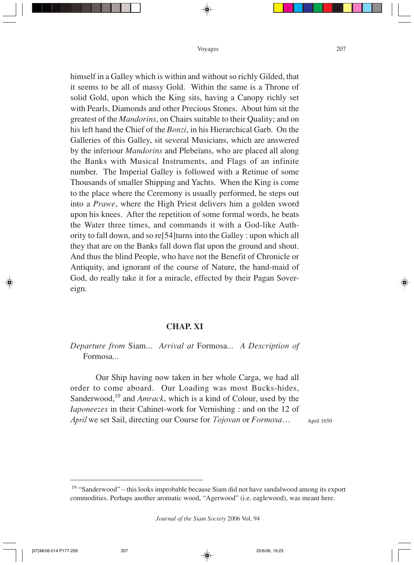himself in a Galley which is within and without so richly Gilded, that it seems to be all of massy Gold. Within the same is a Throne of solid Gold, upon which the King sits, having a Canopy richly set with Pearls, Diamonds and other Precious Stones. About him sit the greatest of the *Mandorins*, on Chairs suitable to their Quality; and on his left hand the Chief of the *Bonzi*, in his Hierarchical Garb. On the Galleries of this Galley, sit several Musicians, which are answered by the inferiour *Mandorins* and Plebeïans, who are placed all along the Banks with Musical Instruments, and Flags of an infinite number. The Imperial Galley is followed with a Retinue of some Thousands of smaller Shipping and Yachts. When the King is come to the place where the Ceremony is usually performed, he steps out into a *Prawe*, where the High Priest delivers him a golden sword upon his knees. After the repetition of some formal words, he beats the Water three times, and commands it with a God-like Authority to fall down, and so re[54]turns into the Galley : upon which all they that are on the Banks fall down flat upon the ground and shout. And thus the blind People, who have not the Benefit of Chronicle or Antiquity, and ignorant of the course of Nature, the hand-maid of God, do really take it for a miracle, effected by their Pagan Sovereign.

### **CHAP. XI**

*Departure from* Siam... *Arrival at* Formosa*... A Description of* Formosa*...*

Our Ship having now taken in her whole Carga, we had all order to come aboard. Our Loading was most Bucks-hides, Sanderwood,<sup>19</sup> and *Amrack*, which is a kind of Colour, used by the *Iaponeezes* in their Cahinet-work for Vernishing : and on the 12 of *April* we set Sail, directing our Course for *Tojovan* or *Formosa*…

April 1650

 $19$  "Sanderwood" – this looks improbable because Siam did not have sandalwood among its export commodities. Perhaps another aromatic wood, "Agerwood" (i.e. eaglewood), was meant here.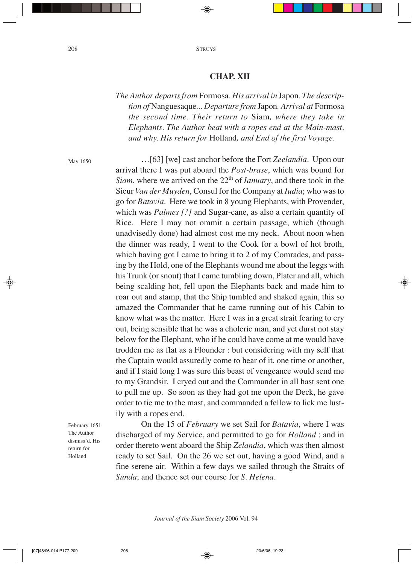# **CHAP. XII**

*The Author departs from* Formosa*. His arrival in* Japon*. The description of* Nanguesaque*... Departure from* Japon*. Arrival at* Formosa *the second time. Their return to* Siam*, where they take in Elephants. The Author beat with a ropes end at the Main-mast, and why. His return for* Holland*, and End of the first Voyage.*

May 1650

…[63] [we] cast anchor before the Fort *Zeelandia*. Upon our arrival there I was put aboard the *Post-brase*, which was bound for *Siam*, where we arrived on the 22<sup>th</sup> of *Ianuary*, and there took in the Sieur *Van der Muyden*, Consul for the Company at *Iudia*; who was to go for *Batavia*. Here we took in 8 young Elephants, with Provender, which was *Palmes [?]* and Sugar-cane, as also a certain quantity of Rice. Here I may not ommit a certain passage, which (though unadvisedly done) had almost cost me my neck. About noon when the dinner was ready, I went to the Cook for a bowl of hot broth, which having got I came to bring it to 2 of my Comrades, and passing by the Hold, one of the Elephants wound me about the leggs with his Trunk (or snout) that I came tumbling down, Plater and all, which being scalding hot, fell upon the Elephants back and made him to roar out and stamp, that the Ship tumbled and shaked again, this so amazed the Commander that he came running out of his Cabin to know what was the matter. Here I was in a great strait fearing to cry out, being sensible that he was a choleric man, and yet durst not stay below for the Elephant, who if he could have come at me would have trodden me as flat as a Flounder : but considering with my self that the Captain would assuredly come to hear of it, one time or another, and if I staid long I was sure this beast of vengeance would send me to my Grandsir. I cryed out and the Commander in all hast sent one to pull me up. So soon as they had got me upon the Deck, he gave order to tie me to the mast, and commanded a fellow to lick me lustily with a ropes end.

February 1651 The Author dismiss'd. His return for Holland.

On the 15 of *February* we set Sail for *Batavia*, where I was discharged of my Service, and permitted to go for *Holland* : and in order thereto went aboard the Ship *Zelandia*, which was then almost ready to set Sail. On the 26 we set out, having a good Wind, and a fine serene air. Within a few days we sailed through the Straits of *Sunda*; and thence set our course for *S. Helena*.